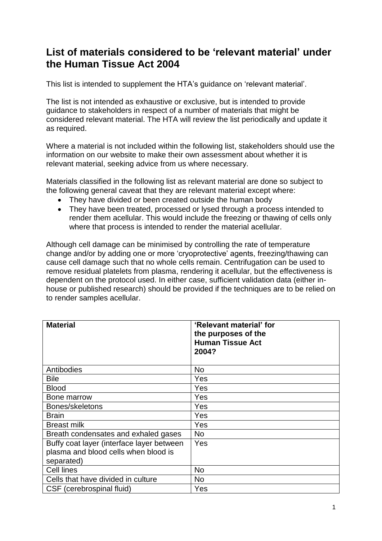## **List of materials considered to be 'relevant material' under the Human Tissue Act 2004**

This list is intended to supplement the HTA's guidance on 'relevant material'.

The list is not intended as exhaustive or exclusive, but is intended to provide guidance to stakeholders in respect of a number of materials that might be considered relevant material. The HTA will review the list periodically and update it as required.

Where a material is not included within the following list, stakeholders should use the information on our website to make their own assessment about whether it is relevant material, seeking advice from us where necessary.

Materials classified in the following list as relevant material are done so subject to the following general caveat that they are relevant material except where:

- They have divided or been created outside the human body
- They have been treated, processed or lysed through a process intended to render them acellular. This would include the freezing or thawing of cells only where that process is intended to render the material acellular.

Although cell damage can be minimised by controlling the rate of temperature change and/or by adding one or more 'cryoprotective' agents, freezing/thawing can cause cell damage such that no whole cells remain. Centrifugation can be used to remove residual platelets from plasma, rendering it acellular, but the effectiveness is dependent on the protocol used. In either case, sufficient validation data (either inhouse or published research) should be provided if the techniques are to be relied on to render samples acellular.

| <b>Material</b>                                                                                 | 'Relevant material' for<br>the purposes of the<br><b>Human Tissue Act</b><br>2004? |
|-------------------------------------------------------------------------------------------------|------------------------------------------------------------------------------------|
| Antibodies                                                                                      | <b>No</b>                                                                          |
| <b>Bile</b>                                                                                     | Yes                                                                                |
| <b>Blood</b>                                                                                    | Yes                                                                                |
| Bone marrow                                                                                     | Yes                                                                                |
| Bones/skeletons                                                                                 | Yes                                                                                |
| <b>Brain</b>                                                                                    | Yes                                                                                |
| <b>Breast milk</b>                                                                              | Yes                                                                                |
| Breath condensates and exhaled gases                                                            | <b>No</b>                                                                          |
| Buffy coat layer (interface layer between<br>plasma and blood cells when blood is<br>separated) | Yes                                                                                |
| Cell lines                                                                                      | <b>No</b>                                                                          |
| Cells that have divided in culture                                                              | No.                                                                                |
| CSF (cerebrospinal fluid)                                                                       | Yes                                                                                |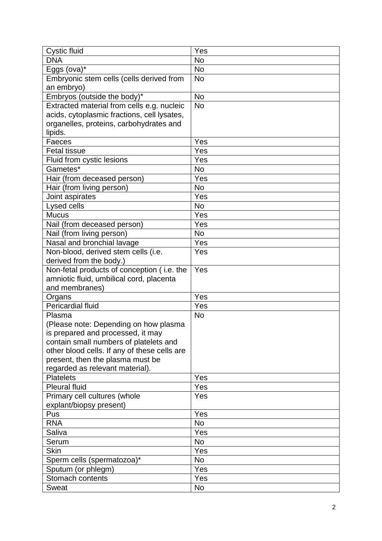| <b>Cystic fluid</b>                          | $\overline{Y}$ es |
|----------------------------------------------|-------------------|
| <b>DNA</b>                                   | <b>No</b>         |
| Eggs (ova)*                                  | <b>No</b>         |
| Embryonic stem cells (cells derived from     | <b>No</b>         |
| an embryo)                                   |                   |
| Embryos (outside the body)*                  | <b>No</b>         |
| Extracted material from cells e.g. nucleic   | <b>No</b>         |
| acids, cytoplasmic fractions, cell lysates,  |                   |
| organelles, proteins, carbohydrates and      |                   |
| lipids.                                      |                   |
| Faeces                                       | Yes               |
| <b>Fetal tissue</b>                          | Yes               |
| Fluid from cystic lesions                    | Yes               |
| Gametes*                                     | <b>No</b>         |
| Hair (from deceased person)                  | Yes               |
| Hair (from living person)                    | <b>No</b>         |
| Joint aspirates                              | Yes               |
| Lysed cells                                  | <b>No</b>         |
| <b>Mucus</b>                                 | Yes               |
| Nail (from deceased person)                  | Yes               |
| Nail (from living person)                    | <b>No</b>         |
| Nasal and bronchial lavage                   | Yes               |
| Non-blood, derived stem cells (i.e.          | Yes               |
| derived from the body.)                      |                   |
| Non-fetal products of conception (i.e. the   | Yes               |
| amniotic fluid, umbilical cord, placenta     |                   |
| and membranes)                               |                   |
| Organs                                       | Yes               |
| <b>Pericardial fluid</b>                     | Yes               |
| Plasma                                       | <b>No</b>         |
| (Please note: Depending on how plasma        |                   |
| is prepared and processed, it may            |                   |
| contain small numbers of platelets and       |                   |
| other blood cells. If any of these cells are |                   |
| present, then the plasma must be             |                   |
| regarded as relevant material).              |                   |
| <b>Platelets</b>                             | Yes               |
| <b>Pleural fluid</b>                         | Yes               |
| Primary cell cultures (whole                 | Yes               |
| explant/biopsy present)                      |                   |
| Pus                                          | Yes               |
| <b>RNA</b>                                   | <b>No</b>         |
| Saliva                                       | Yes               |
| Serum                                        | <b>No</b>         |
| <b>Skin</b>                                  | Yes               |
| Sperm cells (spermatozoa)*                   | No                |
| Sputum (or phlegm)                           | Yes               |
| Stomach contents                             | Yes               |
| <b>Sweat</b>                                 | No                |